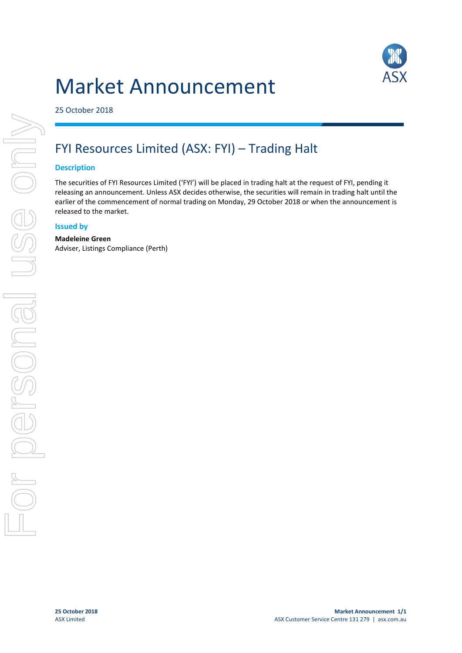# Market Announcement



25 October 2018

## FYI Resources Limited (ASX: FYI) – Trading Halt

### **Description**

The securities of FYI Resources Limited ('FYI') will be placed in trading halt at the request of FYI, pending it releasing an announcement. Unless ASX decides otherwise, the securities will remain in trading halt until the earlier of the commencement of normal trading on Monday, 29 October 2018 or when the announcement is released to the market.

#### **Issued by**

#### **Madeleine Green**

Adviser, Listings Compliance (Perth)